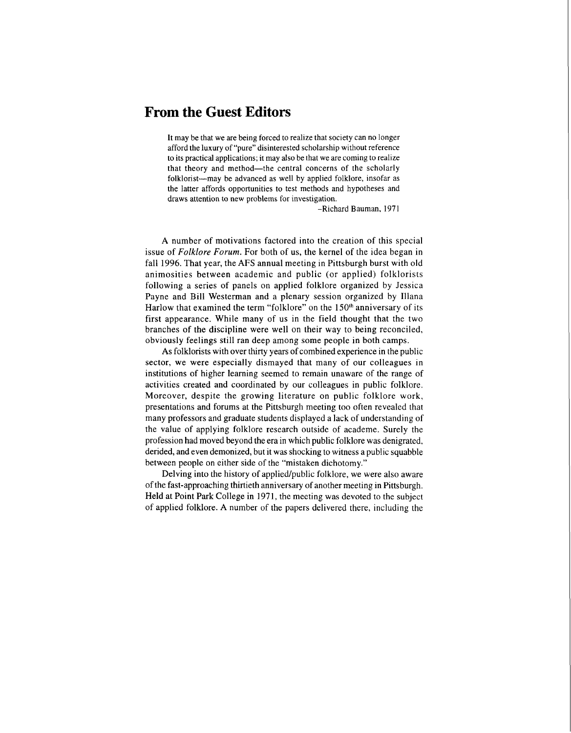## **From the Guest Editors**

It may be that we are being forced to realize that society can no longer afford the luxury of "pure" disinterested scholarship without reference to its practical applications; it may also be that we are coming to realize that theory and method-the central concerns of the scholarly folklorist-may be advanced as well by applied folklore, insofar as the latter affords opportunities to test methods and hypotheses and draws attention to new problems for investigation.

-Richard Bauman, 1971

A number of motivations factored into the creation of this special issue of *Folklore Forum.* For both of us, the kernel of the idea began in fall 1996. That year, the AFS annual meeting in Pittsburgh burst with old animosities between academic and public (or applied) folklorists following a series of panels on applied folklore organized by Jessica Payne and Bill Westerman and a plenary session organized by Illana Harlow that examined the term "folklore" on the 150<sup>th</sup> anniversary of its first appearance. While many of us in the field thought that the two branches of the discipline were well on their way to being reconciled, obviously feelings still ran deep among some people in both camps.

As folklorists with over thirty years of combined experience in the public sector, we were especially dismayed that many of our colleagues in institutions of higher learning seemed to remain unaware of the range of activities created and coordinated by our colleagues in public folklore. Moreover, despite the growing literature on public folklore work, presentations and forums at the Pittsburgh meeting too often revealed that many professors and graduate students displayed a lack of understanding of the value of applying folklore research outside of academe. Surely the profession had moved beyond the era in which public folklore was denigrated, derided, and even demonized, but it was shocking to witness a public squabble between people on either side of the "mistaken dichotomy."

Delving into the history of applied/public folklore, we were also aware of the fast-approaching thirtieth anniversary of another meeting in Pittsburgh. Held at Point Park College in 1971, the meeting was devoted to the subject of applied folklore. A number of the papers delivered there, including the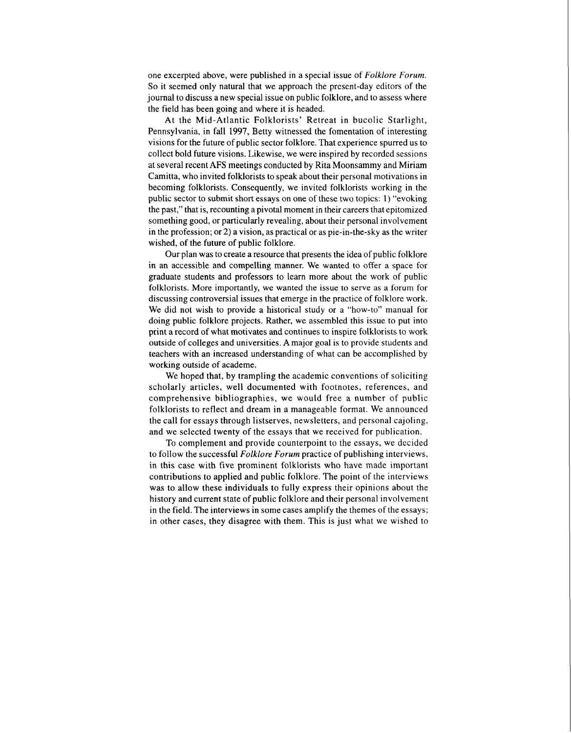one excerpted above, were published in a special issue of *Folklore Forum.*  So it seemed only natural that we approach the present-day editors of the journal to discuss a new special issue on public folklore, and to assess where the field has been going and where it is headed.

At the Mid-Atlantic Folklorists' Retreat in bucolic Starlight, Pennsylvania, in fall 1997, Betty witnessed the fomentation of interesting visions for the future of public sector folklore. That experience spurred us to collect bold future visions. Likewise, we were inspired by recorded sessions at several recent AFS meetings conducted by Rita Moonsammy and Miriam Camitta, who invited folklorists to speak about their personal motivations in becoming folklorists. Consequently, we invited folklorists working in the public sector to submit short essays on one of these two topics: 1) "evoking the past," that is, recounting a pivotal moment in their careers that epitomized something good, or particularly revealing, about their personal involvement in the profession; or 2) a vision, as practical or as pie-in-the-sky as the writer wished, of the future of public folklore.

Our plan was to create a resource that presents the idea of public folklore in an accessible and compelling manner. We wanted to offer a space for graduate students and professors to learn more about the work of public folklorists. More importantly, we wanted the issue to serve as a forum for discussing controversial issues that emerge in the practice of folklore work. We did not wish to provide a historical study or a "how-to" manual for doing public folklore projects. Rather, we assembled this issue to put into print a record of what motivates and continues to inspire folklorists to work outside of colleges and universities. A major goal is to provide students and teachers with an increased understanding of what can be accomplished by working outside of academe.

We hoped that, by trampling the academic conventions of soliciting scholarly articles, well documented with footnotes, references, and comprehensive bibliographies, we would free a number of public folklorists to reflect and dream in a manageable format. We announced the call for essays through listserves, newsletters, and personal cajoling, and we selected twenty of the essays that we received for publication.

To complement and provide counterpoint to the essays, we decided to follow the successful *Folklore Forum* practice of publishing interviews, in this case with five prominent folklorists who have made important contributions to applied and public folklore. The point of the interviews was to allow these individuals to fully express their opinions about the history and current state of public folklore and their personal involvement in the field. The interviews in some cases amplify the themes of the essays; in other cases, they disagree with them. This is just what we wished to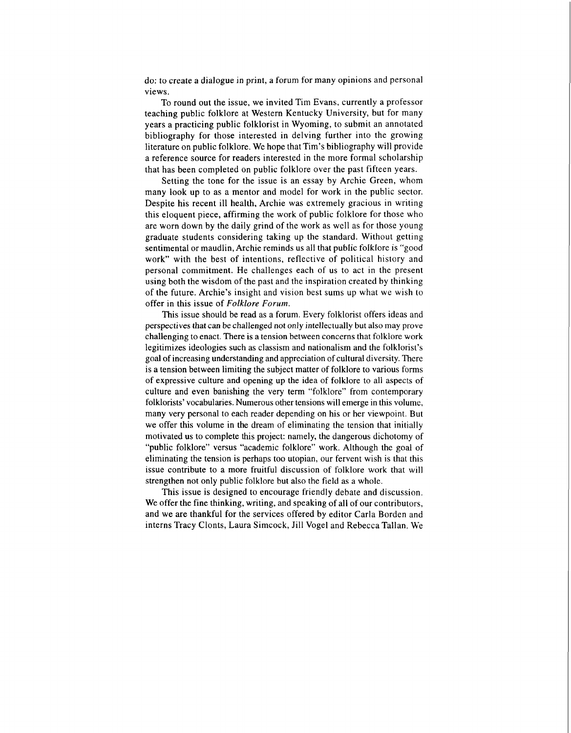do: to create a dialogue in print, a forum for many opinions and personal views.

To round out the issue, we invited Tim Evans, currently a professor teaching public folklore at Western Kentucky University, but for many years a practicing public folklorist in Wyoming, to submit an annotated bibliography for those interested in delving further into the growing literature on public folklore. We hope that Tim's bibliography will provide a reference source for readers interested in the more formal scholarship that has been completed on public folklore over the past fifteen years.

Setting the tone for the issue is an essay by Archie Green, whom many look up to as a mentor and model for work in the public sector. Despite his recent ill health, Archie was extremely gracious in writing this eloquent piece, affirming the work of public folklore for those who are worn down by the daily grind of the work as well as for those young graduate students considering taking up the standard. Without getting sentimental or maudlin, Archie reminds us all that public folklore is "good work" with the best of intentions, reflective of political history and personal commitment. He challenges each of us to act in the present using both the wisdom of the past and the inspiration created by thinking of the future. Archie's insight and vision best sums up what we wish to offer in this issue of *Folklore Forum.* 

This issue should be read as a forum. Every folklorist offers ideas and perspectives that can be challenged not only intellectually but also may prove challenging to enact. There is a tension between concerns that folklore work legitimizes ideologies such as classism and nationalism and the folklorist's goal of increasing understanding and appreciation of cultural diversity. There is a tension between limiting the subject matter of folklore to various forms of expressive culture and opening up the idea of folklore to all aspects of culture and even banishing the very term "folklore" from contemporary folklorists' vocabularies. Numerous other tensions will emerge in this volume, many very personal to each reader depending on his or her viewpoint. But we offer this volume in the dream of eliminating the tension that initially motivated us to complete this project: namely, the dangerous dichotomy of "public folklore" versus "academic folklore" work. Although the goal of eliminating the tension is perhaps too utopian, our fervent wish is that this issue contribute to a more fruitful discussion of folklore work that will strengthen not only public folklore but also the field as a whole.

This issue is designed to encourage friendly debate and discussion. We offer the fine thinking, writing, and speaking of all of our contributors, and we are thankful for the services offered by editor Carla Borden and interns Tracy Clonts, Laura Simcock, Jill Vogel and Rebecca Tallan. We